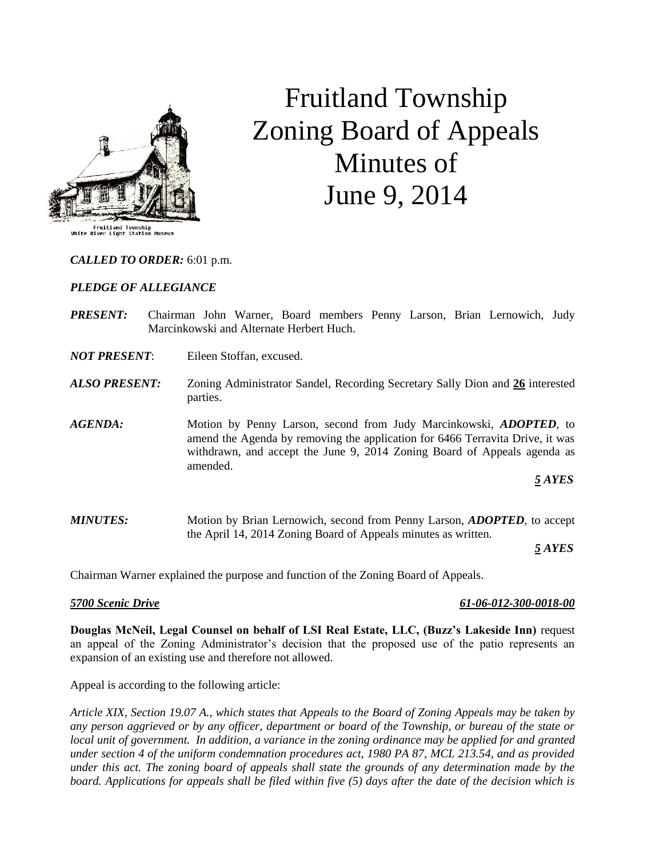

# Fruitland Township Zoning Board of Appeals Minutes of June 9, 2014

# *CALLED TO ORDER:* 6:01 p.m.

### *PLEDGE OF ALLEGIANCE*

- *PRESENT:* Chairman John Warner, Board members Penny Larson, Brian Lernowich, Judy Marcinkowski and Alternate Herbert Huch.
- *NOT PRESENT*: Eileen Stoffan, excused.
- *ALSO PRESENT:* Zoning Administrator Sandel, Recording Secretary Sally Dion and **26** interested parties.
- *AGENDA:* Motion by Penny Larson, second from Judy Marcinkowski, *ADOPTED,* to amend the Agenda by removing the application for 6466 Terravita Drive, it was withdrawn, and accept the June 9, 2014 Zoning Board of Appeals agenda as amended.

# *5 AYES*

*MINUTES:* Motion by Brian Lernowich, second from Penny Larson, *ADOPTED,* to accept the April 14, 2014 Zoning Board of Appeals minutes as written.

*5 AYES*

Chairman Warner explained the purpose and function of the Zoning Board of Appeals.

## *5700 Scenic Drive 61-06-012-300-0018-00*

**Douglas McNeil, Legal Counsel on behalf of LSI Real Estate, LLC, (Buzz's Lakeside Inn)** request an appeal of the Zoning Administrator's decision that the proposed use of the patio represents an expansion of an existing use and therefore not allowed.

Appeal is according to the following article:

*Article XIX, Section 19.07 A., which states that Appeals to the Board of Zoning Appeals may be taken by any person aggrieved or by any officer, department or board of the Township, or bureau of the state or local unit of government. In addition, a variance in the zoning ordinance may be applied for and granted under section 4 of the uniform condemnation procedures act, 1980 PA 87, MCL 213.54, and as provided under this act. The zoning board of appeals shall state the grounds of any determination made by the board. Applications for appeals shall be filed within five (5) days after the date of the decision which is*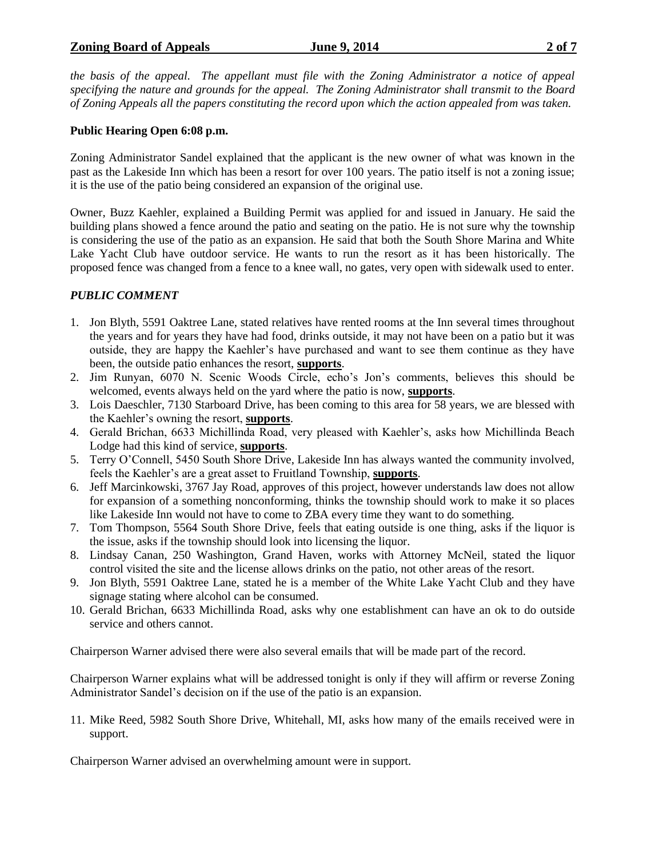# **Zoning Board of Appeals June 9, 2014 2 of 7**

*the basis of the appeal. The appellant must file with the Zoning Administrator a notice of appeal specifying the nature and grounds for the appeal. The Zoning Administrator shall transmit to the Board of Zoning Appeals all the papers constituting the record upon which the action appealed from was taken.*

# **Public Hearing Open 6:08 p.m.**

Zoning Administrator Sandel explained that the applicant is the new owner of what was known in the past as the Lakeside Inn which has been a resort for over 100 years. The patio itself is not a zoning issue; it is the use of the patio being considered an expansion of the original use.

Owner, Buzz Kaehler, explained a Building Permit was applied for and issued in January. He said the building plans showed a fence around the patio and seating on the patio. He is not sure why the township is considering the use of the patio as an expansion. He said that both the South Shore Marina and White Lake Yacht Club have outdoor service. He wants to run the resort as it has been historically. The proposed fence was changed from a fence to a knee wall, no gates, very open with sidewalk used to enter.

# *PUBLIC COMMENT*

- 1. Jon Blyth, 5591 Oaktree Lane, stated relatives have rented rooms at the Inn several times throughout the years and for years they have had food, drinks outside, it may not have been on a patio but it was outside, they are happy the Kaehler's have purchased and want to see them continue as they have been, the outside patio enhances the resort, **supports**.
- 2. Jim Runyan, 6070 N. Scenic Woods Circle, echo's Jon's comments, believes this should be welcomed, events always held on the yard where the patio is now, **supports**.
- 3. Lois Daeschler, 7130 Starboard Drive, has been coming to this area for 58 years, we are blessed with the Kaehler's owning the resort, **supports**.
- 4. Gerald Brichan, 6633 Michillinda Road, very pleased with Kaehler's, asks how Michillinda Beach Lodge had this kind of service, **supports**.
- 5. Terry O'Connell, 5450 South Shore Drive, Lakeside Inn has always wanted the community involved, feels the Kaehler's are a great asset to Fruitland Township, **supports**.
- 6. Jeff Marcinkowski, 3767 Jay Road, approves of this project, however understands law does not allow for expansion of a something nonconforming, thinks the township should work to make it so places like Lakeside Inn would not have to come to ZBA every time they want to do something.
- 7. Tom Thompson, 5564 South Shore Drive, feels that eating outside is one thing, asks if the liquor is the issue, asks if the township should look into licensing the liquor.
- 8. Lindsay Canan, 250 Washington, Grand Haven, works with Attorney McNeil, stated the liquor control visited the site and the license allows drinks on the patio, not other areas of the resort.
- 9. Jon Blyth, 5591 Oaktree Lane, stated he is a member of the White Lake Yacht Club and they have signage stating where alcohol can be consumed.
- 10. Gerald Brichan, 6633 Michillinda Road, asks why one establishment can have an ok to do outside service and others cannot.

Chairperson Warner advised there were also several emails that will be made part of the record.

Chairperson Warner explains what will be addressed tonight is only if they will affirm or reverse Zoning Administrator Sandel's decision on if the use of the patio is an expansion.

11. Mike Reed, 5982 South Shore Drive, Whitehall, MI, asks how many of the emails received were in support.

Chairperson Warner advised an overwhelming amount were in support.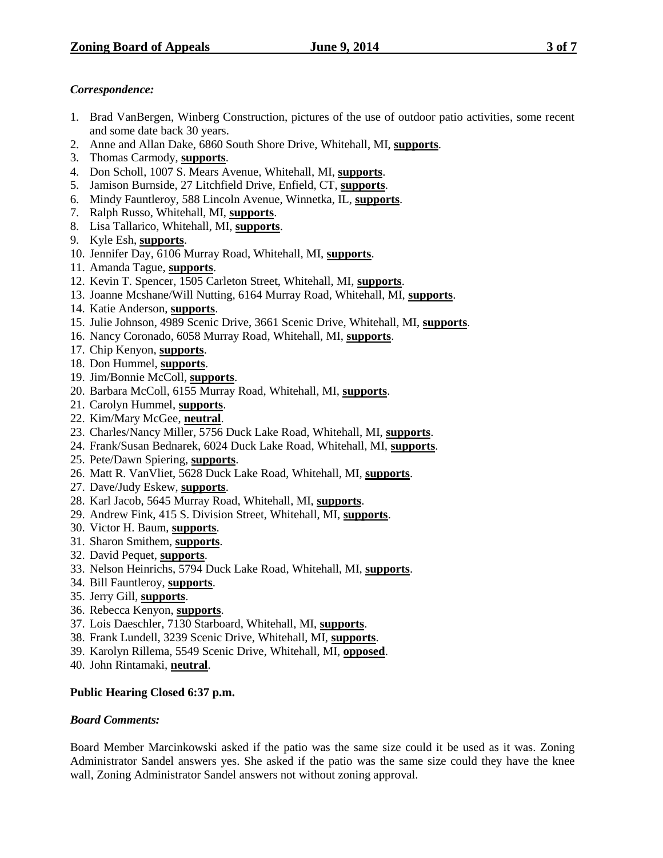# *Correspondence:*

- 1. Brad VanBergen, Winberg Construction, pictures of the use of outdoor patio activities, some recent and some date back 30 years.
- 2. Anne and Allan Dake, 6860 South Shore Drive, Whitehall, MI, **supports**.
- 3. Thomas Carmody, **supports**.
- 4. Don Scholl, 1007 S. Mears Avenue, Whitehall, MI, **supports**.
- 5. Jamison Burnside, 27 Litchfield Drive, Enfield, CT, **supports**.
- 6. Mindy Fauntleroy, 588 Lincoln Avenue, Winnetka, IL, **supports**.
- 7. Ralph Russo, Whitehall, MI, **supports**.
- 8. Lisa Tallarico, Whitehall, MI, **supports**.
- 9. Kyle Esh, **supports**.
- 10. Jennifer Day, 6106 Murray Road, Whitehall, MI, **supports**.
- 11. Amanda Tague, **supports**.
- 12. Kevin T. Spencer, 1505 Carleton Street, Whitehall, MI, **supports**.
- 13. Joanne Mcshane/Will Nutting, 6164 Murray Road, Whitehall, MI, **supports**.
- 14. Katie Anderson, **supports**.
- 15. Julie Johnson, 4989 Scenic Drive, 3661 Scenic Drive, Whitehall, MI, **supports**.
- 16. Nancy Coronado, 6058 Murray Road, Whitehall, MI, **supports**.
- 17. Chip Kenyon, **supports**.
- 18. Don Hummel, **supports**.
- 19. Jim/Bonnie McColl, **supports**.
- 20. Barbara McColl, 6155 Murray Road, Whitehall, MI, **supports**.
- 21. Carolyn Hummel, **supports**.
- 22. Kim/Mary McGee, **neutral**.
- 23. Charles/Nancy Miller, 5756 Duck Lake Road, Whitehall, MI, **supports**.
- 24. Frank/Susan Bednarek, 6024 Duck Lake Road, Whitehall, MI, **supports**.
- 25. Pete/Dawn Spiering, **supports**.
- 26. Matt R. VanVliet, 5628 Duck Lake Road, Whitehall, MI, **supports**.
- 27. Dave/Judy Eskew, **supports**.
- 28. Karl Jacob, 5645 Murray Road, Whitehall, MI, **supports**.
- 29. Andrew Fink, 415 S. Division Street, Whitehall, MI, **supports**.
- 30. Victor H. Baum, **supports**.
- 31. Sharon Smithem, **supports**.
- 32. David Pequet, **supports**.
- 33. Nelson Heinrichs, 5794 Duck Lake Road, Whitehall, MI, **supports**.
- 34. Bill Fauntleroy, **supports**.
- 35. Jerry Gill, **supports**.
- 36. Rebecca Kenyon, **supports**.
- 37. Lois Daeschler, 7130 Starboard, Whitehall, MI, **supports**.
- 38. Frank Lundell, 3239 Scenic Drive, Whitehall, MI, **supports**.
- 39. Karolyn Rillema, 5549 Scenic Drive, Whitehall, MI, **opposed**.
- 40. John Rintamaki, **neutral**.

# **Public Hearing Closed 6:37 p.m.**

# *Board Comments:*

Board Member Marcinkowski asked if the patio was the same size could it be used as it was. Zoning Administrator Sandel answers yes. She asked if the patio was the same size could they have the knee wall, Zoning Administrator Sandel answers not without zoning approval.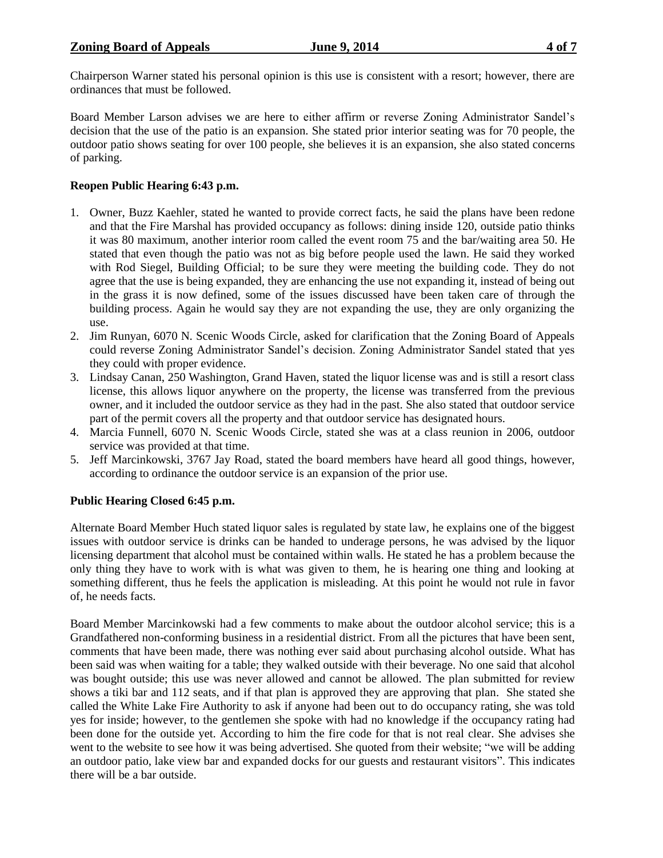Chairperson Warner stated his personal opinion is this use is consistent with a resort; however, there are ordinances that must be followed.

Board Member Larson advises we are here to either affirm or reverse Zoning Administrator Sandel's decision that the use of the patio is an expansion. She stated prior interior seating was for 70 people, the outdoor patio shows seating for over 100 people, she believes it is an expansion, she also stated concerns of parking.

# **Reopen Public Hearing 6:43 p.m.**

- 1. Owner, Buzz Kaehler, stated he wanted to provide correct facts, he said the plans have been redone and that the Fire Marshal has provided occupancy as follows: dining inside 120, outside patio thinks it was 80 maximum, another interior room called the event room 75 and the bar/waiting area 50. He stated that even though the patio was not as big before people used the lawn. He said they worked with Rod Siegel, Building Official; to be sure they were meeting the building code. They do not agree that the use is being expanded, they are enhancing the use not expanding it, instead of being out in the grass it is now defined, some of the issues discussed have been taken care of through the building process. Again he would say they are not expanding the use, they are only organizing the use.
- 2. Jim Runyan, 6070 N. Scenic Woods Circle, asked for clarification that the Zoning Board of Appeals could reverse Zoning Administrator Sandel's decision. Zoning Administrator Sandel stated that yes they could with proper evidence.
- 3. Lindsay Canan, 250 Washington, Grand Haven, stated the liquor license was and is still a resort class license, this allows liquor anywhere on the property, the license was transferred from the previous owner, and it included the outdoor service as they had in the past. She also stated that outdoor service part of the permit covers all the property and that outdoor service has designated hours.
- 4. Marcia Funnell, 6070 N. Scenic Woods Circle, stated she was at a class reunion in 2006, outdoor service was provided at that time.
- 5. Jeff Marcinkowski, 3767 Jay Road, stated the board members have heard all good things, however, according to ordinance the outdoor service is an expansion of the prior use.

# **Public Hearing Closed 6:45 p.m.**

Alternate Board Member Huch stated liquor sales is regulated by state law, he explains one of the biggest issues with outdoor service is drinks can be handed to underage persons, he was advised by the liquor licensing department that alcohol must be contained within walls. He stated he has a problem because the only thing they have to work with is what was given to them, he is hearing one thing and looking at something different, thus he feels the application is misleading. At this point he would not rule in favor of, he needs facts.

Board Member Marcinkowski had a few comments to make about the outdoor alcohol service; this is a Grandfathered non-conforming business in a residential district. From all the pictures that have been sent, comments that have been made, there was nothing ever said about purchasing alcohol outside. What has been said was when waiting for a table; they walked outside with their beverage. No one said that alcohol was bought outside; this use was never allowed and cannot be allowed. The plan submitted for review shows a tiki bar and 112 seats, and if that plan is approved they are approving that plan. She stated she called the White Lake Fire Authority to ask if anyone had been out to do occupancy rating, she was told yes for inside; however, to the gentlemen she spoke with had no knowledge if the occupancy rating had been done for the outside yet. According to him the fire code for that is not real clear. She advises she went to the website to see how it was being advertised. She quoted from their website; "we will be adding an outdoor patio, lake view bar and expanded docks for our guests and restaurant visitors". This indicates there will be a bar outside.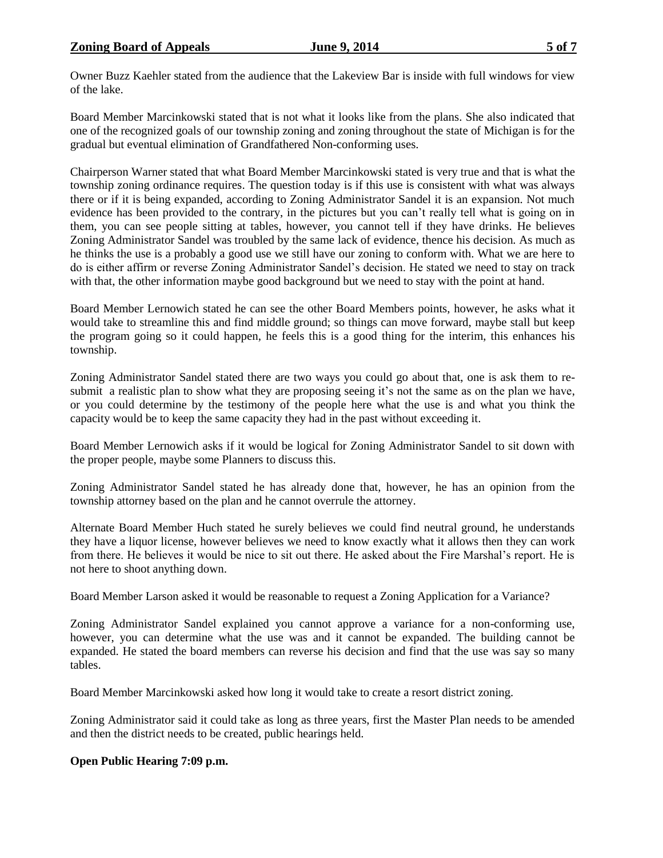Owner Buzz Kaehler stated from the audience that the Lakeview Bar is inside with full windows for view of the lake.

Board Member Marcinkowski stated that is not what it looks like from the plans. She also indicated that one of the recognized goals of our township zoning and zoning throughout the state of Michigan is for the gradual but eventual elimination of Grandfathered Non-conforming uses.

Chairperson Warner stated that what Board Member Marcinkowski stated is very true and that is what the township zoning ordinance requires. The question today is if this use is consistent with what was always there or if it is being expanded, according to Zoning Administrator Sandel it is an expansion. Not much evidence has been provided to the contrary, in the pictures but you can't really tell what is going on in them, you can see people sitting at tables, however, you cannot tell if they have drinks. He believes Zoning Administrator Sandel was troubled by the same lack of evidence, thence his decision. As much as he thinks the use is a probably a good use we still have our zoning to conform with. What we are here to do is either affirm or reverse Zoning Administrator Sandel's decision. He stated we need to stay on track with that, the other information maybe good background but we need to stay with the point at hand.

Board Member Lernowich stated he can see the other Board Members points, however, he asks what it would take to streamline this and find middle ground; so things can move forward, maybe stall but keep the program going so it could happen, he feels this is a good thing for the interim, this enhances his township.

Zoning Administrator Sandel stated there are two ways you could go about that, one is ask them to resubmit a realistic plan to show what they are proposing seeing it's not the same as on the plan we have, or you could determine by the testimony of the people here what the use is and what you think the capacity would be to keep the same capacity they had in the past without exceeding it.

Board Member Lernowich asks if it would be logical for Zoning Administrator Sandel to sit down with the proper people, maybe some Planners to discuss this.

Zoning Administrator Sandel stated he has already done that, however, he has an opinion from the township attorney based on the plan and he cannot overrule the attorney.

Alternate Board Member Huch stated he surely believes we could find neutral ground, he understands they have a liquor license, however believes we need to know exactly what it allows then they can work from there. He believes it would be nice to sit out there. He asked about the Fire Marshal's report. He is not here to shoot anything down.

Board Member Larson asked it would be reasonable to request a Zoning Application for a Variance?

Zoning Administrator Sandel explained you cannot approve a variance for a non-conforming use, however, you can determine what the use was and it cannot be expanded. The building cannot be expanded. He stated the board members can reverse his decision and find that the use was say so many tables.

Board Member Marcinkowski asked how long it would take to create a resort district zoning.

Zoning Administrator said it could take as long as three years, first the Master Plan needs to be amended and then the district needs to be created, public hearings held.

# **Open Public Hearing 7:09 p.m.**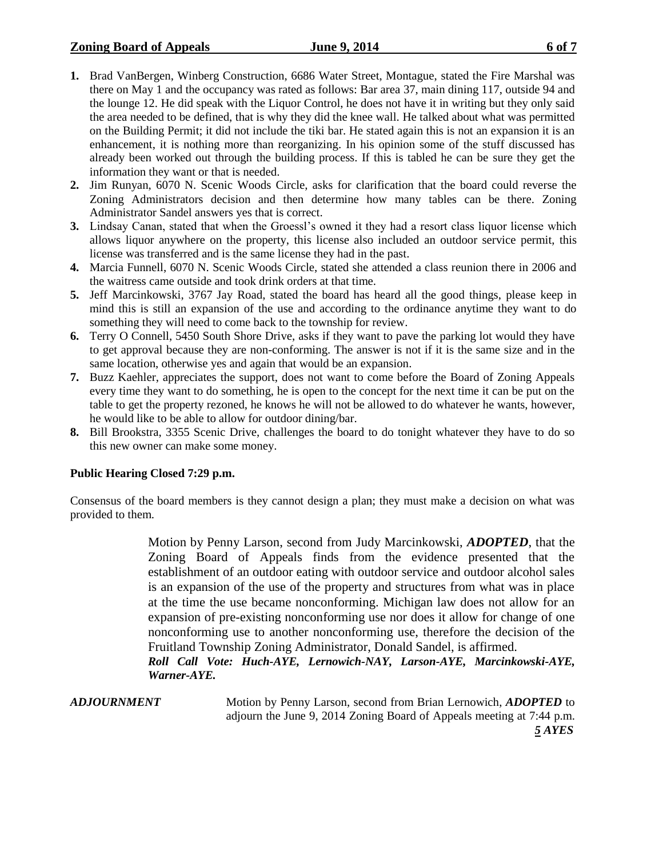- **1.** Brad VanBergen, Winberg Construction, 6686 Water Street, Montague, stated the Fire Marshal was there on May 1 and the occupancy was rated as follows: Bar area 37, main dining 117, outside 94 and the lounge 12. He did speak with the Liquor Control, he does not have it in writing but they only said the area needed to be defined, that is why they did the knee wall. He talked about what was permitted on the Building Permit; it did not include the tiki bar. He stated again this is not an expansion it is an enhancement, it is nothing more than reorganizing. In his opinion some of the stuff discussed has already been worked out through the building process. If this is tabled he can be sure they get the information they want or that is needed.
- **2.** Jim Runyan, 6070 N. Scenic Woods Circle, asks for clarification that the board could reverse the Zoning Administrators decision and then determine how many tables can be there. Zoning Administrator Sandel answers yes that is correct.
- **3.** Lindsay Canan, stated that when the Groessl's owned it they had a resort class liquor license which allows liquor anywhere on the property, this license also included an outdoor service permit, this license was transferred and is the same license they had in the past.
- **4.** Marcia Funnell, 6070 N. Scenic Woods Circle, stated she attended a class reunion there in 2006 and the waitress came outside and took drink orders at that time.
- **5.** Jeff Marcinkowski, 3767 Jay Road, stated the board has heard all the good things, please keep in mind this is still an expansion of the use and according to the ordinance anytime they want to do something they will need to come back to the township for review.
- **6.** Terry O Connell, 5450 South Shore Drive, asks if they want to pave the parking lot would they have to get approval because they are non-conforming. The answer is not if it is the same size and in the same location, otherwise yes and again that would be an expansion.
- **7.** Buzz Kaehler, appreciates the support, does not want to come before the Board of Zoning Appeals every time they want to do something, he is open to the concept for the next time it can be put on the table to get the property rezoned, he knows he will not be allowed to do whatever he wants, however, he would like to be able to allow for outdoor dining/bar.
- **8.** Bill Brookstra, 3355 Scenic Drive, challenges the board to do tonight whatever they have to do so this new owner can make some money.

# **Public Hearing Closed 7:29 p.m.**

Consensus of the board members is they cannot design a plan; they must make a decision on what was provided to them.

> Motion by Penny Larson, second from Judy Marcinkowski, *ADOPTED*, that the Zoning Board of Appeals finds from the evidence presented that the establishment of an outdoor eating with outdoor service and outdoor alcohol sales is an expansion of the use of the property and structures from what was in place at the time the use became nonconforming. Michigan law does not allow for an expansion of pre-existing nonconforming use nor does it allow for change of one nonconforming use to another nonconforming use, therefore the decision of the Fruitland Township Zoning Administrator, Donald Sandel, is affirmed.

> *Roll Call Vote: Huch-AYE, Lernowich-NAY, Larson-AYE, Marcinkowski-AYE, Warner-AYE.*

*ADJOURNMENT* Motion by Penny Larson, second from Brian Lernowich, *ADOPTED* to adjourn the June 9, 2014 Zoning Board of Appeals meeting at 7:44 p.m. *5 AYES*